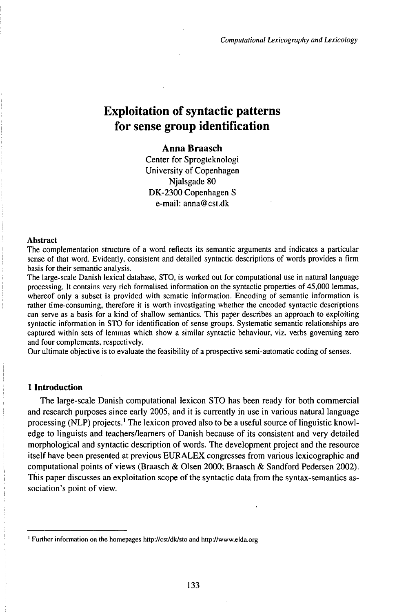# Exploitation of syntactic patterns for sense group identification

# **Anna Braasch**

Center for Sprogteknologi University of Copenhagen Njalsgade 80 DK-2300 Copenhagen S e-mail: anna@cst.dk

#### Abstract

The complementation structure of a word reflects its semantic arguments and indicates a particular sense of that word. Evidently, consistent and detailed syntactic descriptions of words provides a firm basis for their semantic analysis.

The large-scale Danish lexical database, STO, is worked out for computational use in natural language processing. It contains very rich formalised information on the syntactic properties of 45,000 lemmas, whereof only a subset is provided with sematic information. Encoding of semantic information is rather time-consuming, therefore it is worth investigating whether the encoded syntactic descriptions can serve as a basis for a kind of shallow semantics. This paper describes an approach to exploiting syntactic information in STO for identification of sense groups. Systematic semantic relationships are captured within sets of lemmas which show a similar syntactic behaviour, viz. verbs governing zero and four complements, respectively.

Our ultimate objective is to evaluate the feasibility of a prospective semi-automatic coding of senses.

#### **1 Introduction**

The large-scale Danish computational lexicon STO has been ready for both commercial and research purposes since early 2005, and it is currently in use in various natural language processing (NLP) projects.<sup>1</sup> The lexicon proved also to be a useful source oflinguistic knowledge to linguists and teachers/learners of Danish because of its consistent and very detailed morphological and syntactic description of words. The development project and the resource itself have been presented at previous EURALEX congresses from various lexicographic and computational points of views (Braasch & Olsen 2000; Braasch & Sandford Pedersen 2002). This paper discusses an exploitation scope of the syntactic data from the syntax-semantics association's point of view.

<sup>1</sup> Further information on the homepages http://cst/dk/sto and http://www.elda.org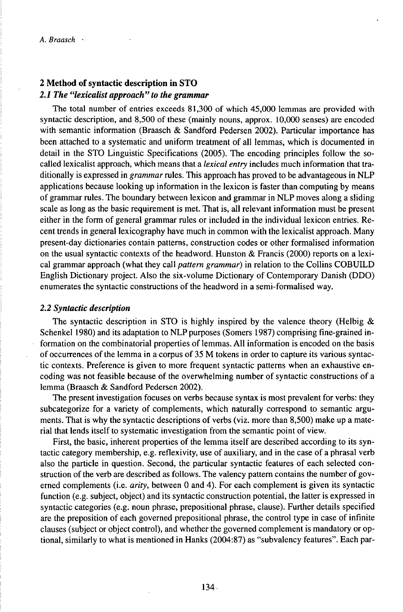# **2 Method ofsyntactic description in STO** *2.1 The "lexicalist approach" to the grammar*

The total number of entries exceeds 81,300 of which 45,000 lemmas are provided with syntactic description, and 8,500 of these (mainly nouns, approx. 10,000 senses) are encoded with semantic information (Braasch & Sandford Pedersen 2002). Particular importance has been attached to a systematic and uniform treatment of all lemmas, which is documented in detail in the STO Linguistic Specifications (2005). The encoding principles follow the socalled lexicalist approach, which means that a *lexical entry* includes much information that traditionally is expressed in *grammar*rules. This approach has proved to be advantageous in NLP applications because looking up information in the lexicon is faster than computing by means of grammar rules. The boundary between lexicon and grammar in NLP moves along a sliding scale as long as the basic requirement is met. That is, all relevant information must be present either in the form of general grammar rules or included in the individual lexicon entries. Recent trends in general lexicography have much in common with the lexicalist approach. Many present-day dictionaries contain patterns, construction codes or other formalised information on the usual syntactic contexts of the headword. Hunston  $\&$  Francis (2000) reports on a lexical grammar approach (what they call *pattern grammar)* in relation to the Collins COBUILD English Dictionary project. Also the six-volume Dictionary of Contemporary Danish (DDO) enumerates the syntactic constructions of the headword in a semi-formalised way.

## *2.2 Syntactic description*

The syntactic description in STO is highly inspired by the valence theory (Helbig  $\&$ Schenkel 1980) and its adaptation to NLP purposes (Somers 1987) comprising fine-grained information on the combinatorial properties of lemmas. All information is encoded on the basis of occurrences of the lemma in a corpus of 35 M tokens in order to capture its various syntactic contexts. Preference is given to more frequent syntactic patterns when an exhaustive encoding was not feasible because of the overwhelming number of syntactic constructions of a lemma (Braasch & Sandford Pedersen 2002).

The present investigation focuses on verbs because syntax is most prevalent for verbs: they subcategorize for a variety of complements, which naturally correspond to semantic arguments. That is why the syntactic descriptions of verbs (viz. more than 8,500) make up a material that lends itself to systematic investigation from the semantic point of view.

First, the basic, inherent properties of the lemma itself are described according to its syntactic category membership, e.g. reflexivity, use of auxiliary, and in the case of a phrasal verb also the particle in question. Second, the particular syntactic features of each selected construction of the verb are described as follows. The valency pattern contains the number of governed complements (i.e. *arity,* between 0 and 4). For each complement is given its syntactic function (e.g. subject, object) and its syntactic construction potential, the latter is expressed in syntactic categories (e.g. noun phrase, prepositional phrase, clause). Further details specified are the preposition of each governed prepositional phrase, the control type in case of infinite clauses (subject or object control), and whether the governed complement is mandatory or optional, similarly to what is mentioned in Hanks (2004:87) as "subvalency features". Each par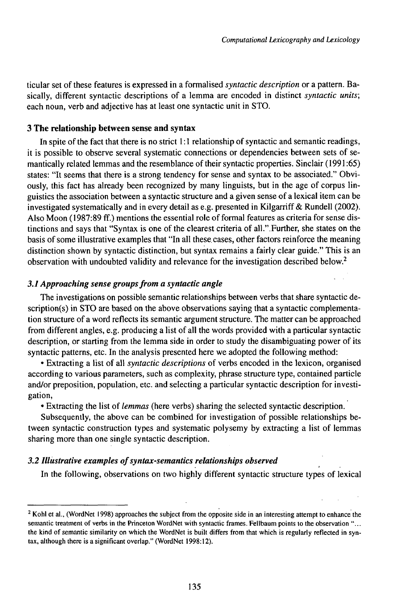ticular set of these features is expressed in a formalised *syntactic description* or a pattern. Basically, different syntactic descriptions of a lemma are encoded in distinct *syntactic units;* each noun, verb and adjective has at least one syntactic unit in STO.

#### **3 The relationship between sense and syntax**

In spite of the fact that there is no strict  $1:1$  relationship of syntactic and semantic readings, it is possible to observe several systematic connections or dependencies between sets of semantically related lemmas and the resemblance of their syntactic properties. Sinclair (1991:65) states: "It seems that there is a strong tendency for sense and syntax to be associated." Obviously, this fact has already been recognized by many linguists, but in the age of corpus linguistics the association between a syntactic structure and a given sense of a lexical item can be investigated systematically and in every detail as e.g. presented in Kilgarriff & Rundell (2002). Also Moon (1987:89 ff.) mentions the essential role of formal features as criteria for sense distinctions and says that "Syntax is one of the clearest criteria of all.".Further, she states on the basis ofsome illustrative examples that "In all these.cases, other factors reinforce the meaning distinction shown by syntactic distinction, but syntax remains a fairly clear guide." This is an observation with undoubted validity and relevance for the investigation described below.<sup>2</sup>

#### *3.1 Approaching sense groupsfrom a syntactic angle*

The investigations on possible semantic relationships between verbs that share syntactic de $scription(s)$  in STO are based on the above observations saying that a syntactic complementation structure of a word reflects its semantic argument structure. The matter can be approached from different angles, e.g. producing a list of all the words provided with a particular syntactic description, or starting from the lemma side in order to study the disambiguating power of its syntactic patterns, etc. In the analysis presented here we adopted the following method:

• Extracting a list of all *syntactic descriptions* of verbs encoded in the lexicon, organised according to various parameters, such as complexity, phrase structure type, contained particle and/or preposition, population, etc. and selecting a particular syntactic description for investigation,

• Extracting the list *oflemmas* (here verbs) sharing the selected syntactic description.

Subsequently, the above can be combined for investigation of possible relationships between syntactic construction types and systematic polysemy by extracting a list of lemmas sharing more than one single syntactic description.

### *3.2 Illustrative examples ofsyntax-semantics reUitionships observed*

In the following, observations on two highly different syntactic structure types of lexical

 $2$  Kohl et al., (WordNet 1998) approaches the subject from the opposite side in an interesting attempt to enhance the semantic treatment of verbs in the Princeton WordNet with syntactic frames. Fellbaum points to the observation "... the kind of semantic similarity on which the WordNet is built differs from that which is regularly reflected in syntax, although there is a significant overlap." (WordNet 1998:12).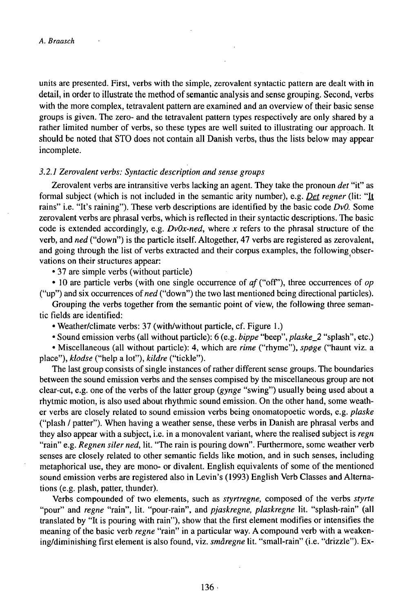units are presented. First, verbs with the simple, zerovalent syntactic pattern are dealt with in detail, in order to illustrate the method of semantic analysis and sense grouping. Second, verbs with the more complex, tetravalent pattern are examined and an overview of their basic sense groups is given. The zero- and the tetravalent pattern types respectively are only shared by a rather limited number of verbs, so these types are well suited to illustrating our approach. It should be noted that STO does not contain all Danish verbs, thus the lists below may appear incomplete.

#### *3.2.1 Zerovalent verbs: Syntactic description and sense groups*

Zerovalent verbs are intransitive verbs lacking an agent. They take the pronoun *det* "it" as formal subject (which is not included in the semantic arity number), e.g. *Det regner* (lit: "It rains" i.e. "It's raining"). These verb descriptions are identified by the basic code *DvO.* Some zerovalent verbs are phrasal verbs, which is reflected in their syntactic descriptions. The basic code is extended accordingly, e.g. *DvOx-ned,* where *x* refers to the phrasal structure of the verb, and *ned* ("down") is the particle itself. Altogether, 47 verbs are registered as zerovalent, and going through the list of verbs extracted and their corpus examples, the following observations on their structures appear:

• 37 are simple verbs (without particle)

• 10 are particle verbs (with one single occurrence of  $af$  ("off"), three occurrences of  $op$ ("up") and six occurrences *ofned* ("down") the two last mentioned being directional particles).

Grouping the verbs together from the semantic point of view, the following three semantic fields are identified:

• Weather/climate verbs: 37 (with/without particle, cf. Figure 1.)

• Sound emission verbs (all without particle): 6 (e.g. *bippe* "beep", *plaske\_2* "splash", etc.)

• Miscellaneous (all without particle): 4, which are *rime* ("rhyme"), *sp0ge* ("haunt viz. a place"), *klodse* ("help a lot"), *kildre* ("tickle").

The last group consists of single instances of rather different sense groups. The boundaries between the sound emission verbs and the senses compised by the miscellaneous group are not clear-cut, e.g. one of the verbs of the latter group *{gynge* "swing") usually being used about a rhytmic motion, is also used about rhythmic sound emission. On the other hand, some weather verbs are closely related to sound emission verbs being onomatopoetic words, e.g. *plaske* ("plash / patter"). When having a weather sense, these verbs in Danish are phrasal verbs and they also appear with a subject, i.e. in a monovalent variant, where the realised subject is *regn* "rain" e.g. *Regnen siler ned*, lit. "The rain is pouring down". Furthermore, some weather verb senses are closely related to other semantic fields like motion, and in such senses, including metaphorical use, they are mono- or divalent. English equivalents of some of the mentioned sound emission verbs are registered also in Levin's (1993) English Verb Classes and Alternations (e.g. plash, patter, thunder).

Verbs compounded of two elements, such as *styrtregne,* composed of the verbs *styrte* "pour" and *regne* "rain", lit. "pour-rain", and *pjaskregne, plaskregne* lit. "splash-rain" (all translated by "It is pouring with rain"), show that the first element modifies or intensifies the meaning of the basic verb *regne* "rain" in a particular way. A compound verb with a weakening/diminishing first element is also found, viz. *småregne* lit. "small-rain" (i.e. "drizzle"). Ex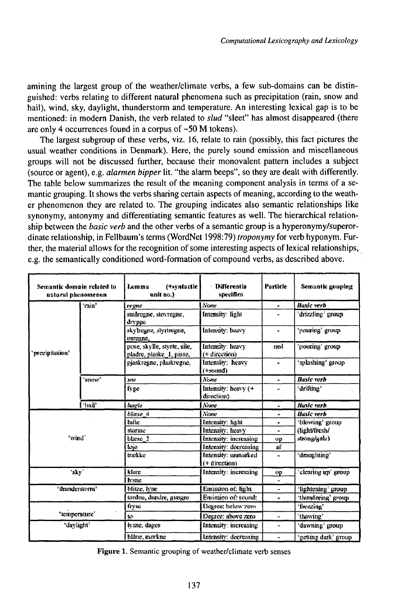amining the largest group of the weather/climate verbs, a few sub-domains can be distinguished: verbs relating to different natural phenomena such as precipitation (rain, snow and hail), wind, sky, daylight, thunderstorm and temperature. An interesting lexical gap is to be mentioned: in modern Danish, the verb related to slud "sleet" has almost disappeared (there are only 4 occurrences found in a corpus of  $~50$  M tokens).

The largest subgroup of these verbs, viz. 16, relate to rain (possibly, this fact pictures the usual weather conditions in Denmark). Here, the purely sound emission and miscellaneous groups will not be discussed further, because their monovalent pattern includes a subject (source or agent), e.g. alarmen bipper lit. "the alarm beeps", so they are dealt with differently. The table below summarizes the result of the meaning component analysis in terms of a semantic grouping. It shows the verbs sharing certain aspects of meaning, according to the weather phenomenon they are related to. The grouping indicates also semantic relationships like synonymy, antonymy and differentiating semantic features as well. The hierarchical relationship between the *basic verb* and the other verbs of a semantic group is a hyperonymy/superordinate relationship, in Fellbaum's terms (WordNet 1998:79) troponymy for verb hyponym. Further, the material allows for the recognition of some interesting aspects of lexical relationships, e.g. the semantically conditioned word-formation of compound verbs, as described above.

| Semantic domain related to<br>natural phenomenon |                   | (+syntactic<br>Lemma<br>unit no.)                       | Differentia<br>specifica             | Particle              | Semantic gouping      |
|--------------------------------------------------|-------------------|---------------------------------------------------------|--------------------------------------|-----------------------|-----------------------|
| 'ntecipitation'                                  | ʻrsin'            | re gne                                                  | l Nome                               | $\bullet$             | <b>Basic verb</b>     |
|                                                  |                   | småregne, stovregne,<br>dryppe                          | Intensity: light                     |                       | `drizzling` group     |
|                                                  |                   | skybegne, styrtregne,<br>оягедие,                       | Intensity; heavy                     | ٠                     | pouring' group        |
|                                                  |                   | pose, skylle, styrte, sile,<br>pladre, plaske_1, pisse, | Intensity: heavy<br>(+ direction)    | ned                   | 'donfiee' eixad       |
|                                                  |                   | pjaskregne, plaskregne,                                 | Intensity: heavy<br>$(+$ sound $)$   | ۰                     | an quotgʻan taritada" |
|                                                  | 'snow'            | sne                                                     | Newta                                | ä.                    | <b>Basic</b> with     |
|                                                  |                   | fvge                                                    | Intensity: heavy (+<br>direction)    | ٠                     | 'driftine'            |
|                                                  | hait <sup>h</sup> | hagle                                                   | None                                 | ٠                     | Rasic verb            |
| 'wind'                                           |                   | blesse 4                                                | None                                 | ۰                     | <b>Basic verb</b>     |
|                                                  |                   | hifte                                                   | Intensity: linht                     | ٠                     | 'blowing' group       |
|                                                  |                   | storme                                                  | Intensity: heavy                     | ÷                     | (light/fresh/         |
|                                                  |                   | blæse 2                                                 | Intensity: increasing                | op                    | stromphate)           |
|                                                  |                   | loie                                                    | Intensity: decreasing                | εť                    |                       |
|                                                  |                   | traskie                                                 | Intensity: unmarked<br>(+ direction) | ٠                     | 'draughting'          |
| aky.                                             |                   | klare                                                   | Intensity: increasing                | op                    | 'elearing up' group   |
|                                                  |                   | <b>h</b> ystic                                          |                                      |                       |                       |
| 'thunderstorm'                                   |                   | blitze, Ivne                                            | Emission of: light                   | $\tilde{\phantom{a}}$ | 'lightening' group    |
|                                                  |                   | tordne, dundre, gungre                                  | Emission of: sound:                  | ä.                    | 'thundering' group    |
| 'temperature'                                    |                   | fresc                                                   | Degree: helow zero                   |                       | freezina'             |
|                                                  |                   | h3                                                      | Degree: above zero                   | $\ddot{\phantom{1}}$  | 'thawing'             |
| "daylight"                                       |                   | lysne, dages                                            | Intensity: increasing                | ٠                     | 'dawning' group       |
|                                                  |                   | blâne, morkne                                           | Intensity: decreasing                |                       | 'getting dark' group  |

Figure 1. Semantic grouping of weather/climate verb senses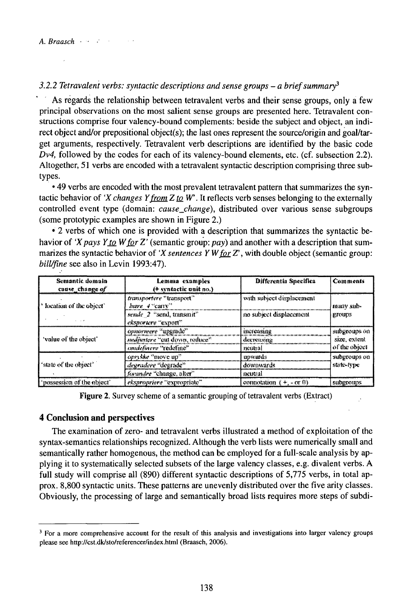## 3.2.2 Tetravalent verbs: syntactic descriptions and sense groups – a brief summary<sup>3</sup>

As regards the relationship between tetravalent verbs and their sense groups, only a few principal observations on the most salient sense groups are presented here. Tetravalent constructions comprise four valency-bound complements: beside the subject and object, an indirect object and/or prepositional object(s); the last ones represent the source/origin and goal/target arguments, respectively. Tetravalent verb descriptions are identified by the basic code  $Dv4$ , followed by the codes for each of its valency-bound elements, etc. (cf. subsection 2.2). Altogether, 51 verbs are encoded with a tetravalent syntactic description comprising three subtypes.

• 49 verbs are encoded with the most prevalent tetravalent pattern that summarizes the syntactic behavior of 'X changes Y from  $Z$  to  $W$ . It reflects verb senses belonging to the externally controlled event type (domain: cause\_change), distributed over various sense subgroups (some prototypic examples are shown in Figure 2.)

• 2 verbs of which one is provided with a description that summarizes the syntactic behavior of 'X pays Y to W for Z' (semantic group:  $pay$ ) and another with a description that summarizes the syntactic behavior of 'X sentences Y W for Z', with double object (semantic group: bill/fine see also in Levin 1993:47).

| Semantic domain<br>cause change of               | Lemma examples<br>(+ syntactic unit no.)        | <b>Differentia Specifica</b> | Comments           |
|--------------------------------------------------|-------------------------------------------------|------------------------------|--------------------|
| <sup>1</sup> location of the object <sup>®</sup> | transportere "transport"<br>bove $4$ "carry"    | with subject displacement    | many sub-          |
|                                                  | sende 2 "send, transmit"<br>eksportere "export" | no subject displacement      | groups             |
|                                                  | opnormere "upgrade"                             | increasing                   | subgroups on       |
| 'value of the object'                            | mediustere "can down, reduce".                  | decreasing                   | size, extent       |
|                                                  | omdefinere "redefine"                           | meutral                      | of the object      |
|                                                  | opresse "move up".                              | upwards                      | subgroups on       |
| f 'state of the object'                          | degradere "degrade"                             | downwards                    | state-type         |
|                                                  | forundre "change, alter"                        | neutral                      |                    |
| possession of the object'                        | ekspropriere "expropriate"                      | connotation $(+,-\alpha,0)$  | <b>SUBRIVITIES</b> |

**Figure 2.** Survey scheme of a semantic grouping of tetravalent verbs (Extract)

#### **4 Conclusion and perspectives**

The examination of zero- and tetravalent verbs illustrated a method of exploitation of the syntax-semantics relationships recognized. Although the verb lists were numerically small and semantically rather homogenous, the method can be employed for a full-scale analysis by applying it to systematically selected subsets of the large valency classes, e.g. divalent verbs. A full study will comprise all (890) different syntactic descriptions of 5,775 verbs, in total approx. 8,800 syntactic units. These patterns are unevenly distributed over the five arity classes. Obviously, the processing of large and semantically broad lists requires more steps of subdi-

<sup>&</sup>lt;sup>3</sup> For a more comprehensive account for the result of this analysis and investigations into larger valency groups please see http://cst.dk/sto/referencer/index.html (Braasch, 2006).